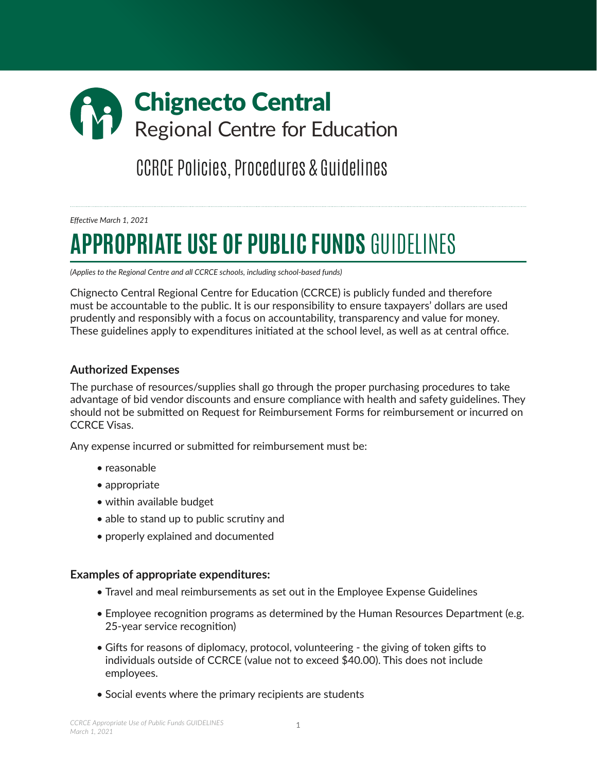# Chignecto Central Regional Centre for Education

CCRCE Policies, Procedures & Guidelines

*Effective March 1, 2021*

# **APPROPRIATE USE OF PUBLIC FUNDS** GUIDELINES

*(Applies to the Regional Centre and all CCRCE schools, including school-based funds)*

Chignecto Central Regional Centre for Education (CCRCE) is publicly funded and therefore must be accountable to the public. It is our responsibility to ensure taxpayers' dollars are used prudently and responsibly with a focus on accountability, transparency and value for money. These guidelines apply to expenditures initiated at the school level, as well as at central office.

### **Authorized Expenses**

The purchase of resources/supplies shall go through the proper purchasing procedures to take advantage of bid vendor discounts and ensure compliance with health and safety guidelines. They should not be submitted on Request for Reimbursement Forms for reimbursement or incurred on CCRCE Visas.

Any expense incurred or submitted for reimbursement must be:

- reasonable
- appropriate
- within available budget
- able to stand up to public scrutiny and
- properly explained and documented

# **Examples of appropriate expenditures:**

- Travel and meal reimbursements as set out in the Employee Expense Guidelines
- Employee recognition programs as determined by the Human Resources Department (e.g. 25-year service recognition)
- Gifts for reasons of diplomacy, protocol, volunteering the giving of token gifts to individuals outside of CCRCE (value not to exceed \$40.00). This does not include employees.
- Social events where the primary recipients are students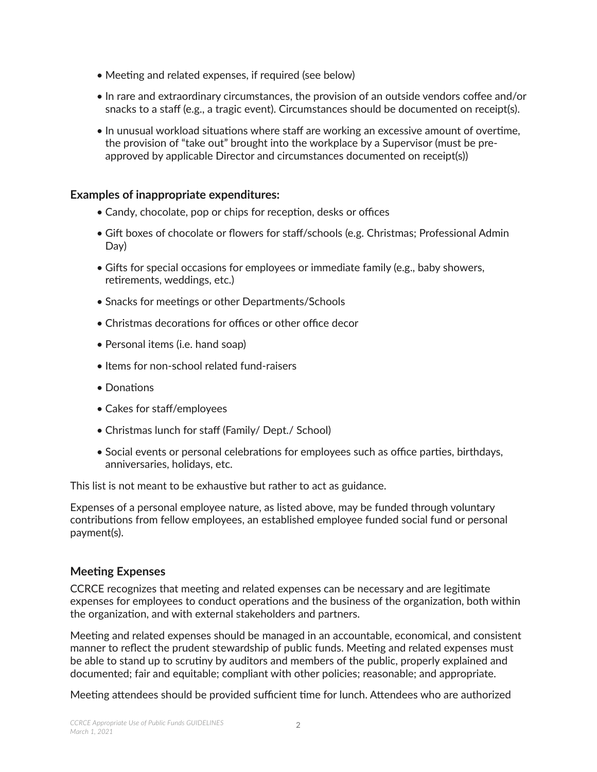- Meeting and related expenses, if required (see below)
- In rare and extraordinary circumstances, the provision of an outside vendors coffee and/or snacks to a staff (e.g., a tragic event). Circumstances should be documented on receipt(s).
- In unusual workload situations where staff are working an excessive amount of overtime, the provision of "take out" brought into the workplace by a Supervisor (must be preapproved by applicable Director and circumstances documented on receipt(s))

### **Examples of inappropriate expenditures:**

- Candy, chocolate, pop or chips for reception, desks or offices
- Gift boxes of chocolate or flowers for staff/schools (e.g. Christmas; Professional Admin Day)
- Gifts for special occasions for employees or immediate family (e.g., baby showers, retirements, weddings, etc.)
- Snacks for meetings or other Departments/Schools
- Christmas decorations for offices or other office decor
- Personal items (i.e. hand soap)
- Items for non-school related fund-raisers
- Donations
- Cakes for staff/employees
- Christmas lunch for staff (Family/ Dept./ School)
- Social events or personal celebrations for employees such as office parties, birthdays, anniversaries, holidays, etc.

This list is not meant to be exhaustive but rather to act as guidance.

Expenses of a personal employee nature, as listed above, may be funded through voluntary contributions from fellow employees, an established employee funded social fund or personal payment(s).

# **Meeting Expenses**

CCRCE recognizes that meeting and related expenses can be necessary and are legitimate expenses for employees to conduct operations and the business of the organization, both within the organization, and with external stakeholders and partners.

Meeting and related expenses should be managed in an accountable, economical, and consistent manner to reflect the prudent stewardship of public funds. Meeting and related expenses must be able to stand up to scrutiny by auditors and members of the public, properly explained and documented; fair and equitable; compliant with other policies; reasonable; and appropriate.

Meeting attendees should be provided sufficient time for lunch. Attendees who are authorized